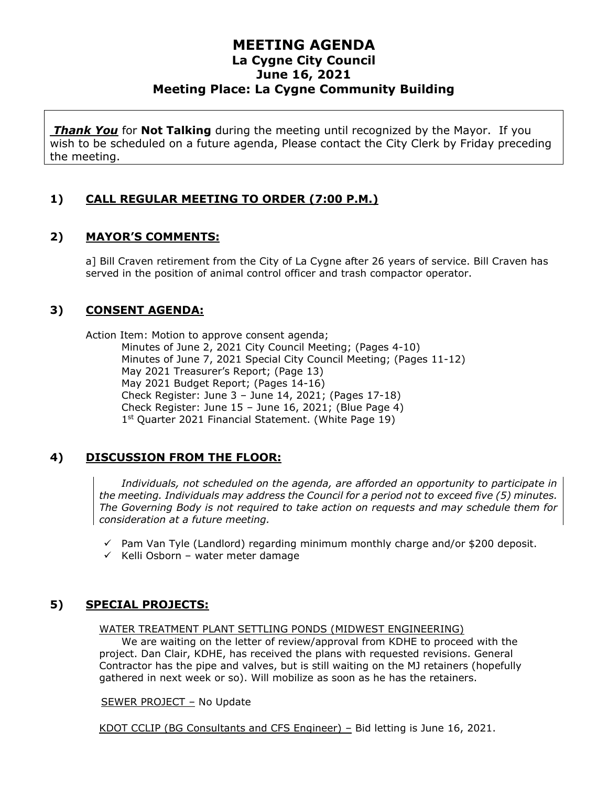# **MEETING AGENDA La Cygne City Council June 16, 2021 Meeting Place: La Cygne Community Building**

*Thank You* for **Not Talking** during the meeting until recognized by the Mayor. If you wish to be scheduled on a future agenda, Please contact the City Clerk by Friday preceding the meeting.

### **1) CALL REGULAR MEETING TO ORDER (7:00 P.M.)**

### **2) MAYOR'S COMMENTS:**

a] Bill Craven retirement from the City of La Cygne after 26 years of service. Bill Craven has served in the position of animal control officer and trash compactor operator.

## **3) CONSENT AGENDA:**

Action Item: Motion to approve consent agenda;

Minutes of June 2, 2021 City Council Meeting; (Pages 4-10) Minutes of June 7, 2021 Special City Council Meeting; (Pages 11-12) May 2021 Treasurer's Report; (Page 13) May 2021 Budget Report; (Pages 14-16) Check Register: June 3 – June 14, 2021; (Pages 17-18) Check Register: June 15 – June 16, 2021; (Blue Page 4) 1<sup>st</sup> Quarter 2021 Financial Statement. (White Page 19)

### **4) DISCUSSION FROM THE FLOOR:**

*Individuals, not scheduled on the agenda, are afforded an opportunity to participate in the meeting. Individuals may address the Council for a period not to exceed five (5) minutes. The Governing Body is not required to take action on requests and may schedule them for consideration at a future meeting.*

- $\checkmark$  Pam Van Tyle (Landlord) regarding minimum monthly charge and/or \$200 deposit.
- $\checkmark$  Kelli Osborn water meter damage

#### **5) SPECIAL PROJECTS:**

WATER TREATMENT PLANT SETTLING PONDS (MIDWEST ENGINEERING)

We are waiting on the letter of review/approval from KDHE to proceed with the project. Dan Clair, KDHE, has received the plans with requested revisions. General Contractor has the pipe and valves, but is still waiting on the MJ retainers (hopefully gathered in next week or so). Will mobilize as soon as he has the retainers.

SEWER PROJECT – No Update

KDOT CCLIP (BG Consultants and CFS Engineer) – Bid letting is June 16, 2021.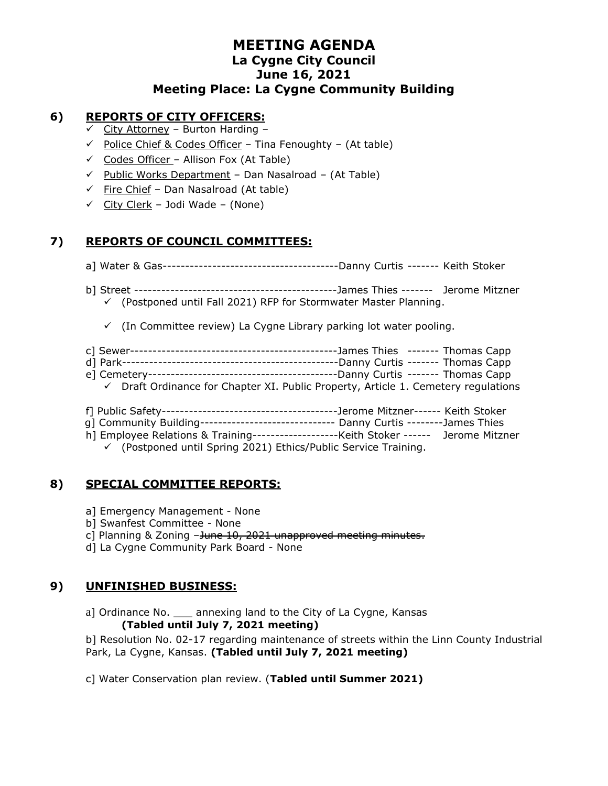# **MEETING AGENDA La Cygne City Council June 16, 2021 Meeting Place: La Cygne Community Building**

## **6) REPORTS OF CITY OFFICERS:**

- $\checkmark$  City Attorney Burton Harding -
- $\checkmark$  Police Chief & Codes Officer Tina Fenoughty (At table)
- $\checkmark$  Codes Officer Allison Fox (At Table)
- $\checkmark$  Public Works Department Dan Nasalroad (At Table)
- $\checkmark$  Fire Chief Dan Nasalroad (At table)
- $\checkmark$  City Clerk Jodi Wade (None)

## **7) REPORTS OF COUNCIL COMMITTEES:**

- a] Water & Gas---------------------------------------Danny Curtis ------- Keith Stoker
- b] Street ---------------------------------------------James Thies ------- Jerome Mitzner  $\checkmark$  (Postponed until Fall 2021) RFP for Stormwater Master Planning.
	- $\checkmark$  (In Committee review) La Cygne Library parking lot water pooling.

|  | √ Draft Ordinance for Chapter XI. Public Property, Article 1. Cemetery regulations |  |  |  |  |
|--|------------------------------------------------------------------------------------|--|--|--|--|

- f] Public Safety---------------------------------------Jerome Mitzner------ Keith Stoker
- g] Community Building------------------------------ Danny Curtis --------James Thies
- h] Employee Relations & Training-------------------Keith Stoker ------ Jerome Mitzner
	- ✓ (Postponed until Spring 2021) Ethics/Public Service Training.

### **8) SPECIAL COMMITTEE REPORTS:**

- a] Emergency Management None
- b] Swanfest Committee None
- c] Planning & Zoning Hune 10, 2021 unapproved meeting minutes.
- d] La Cygne Community Park Board None

### **9) UNFINISHED BUSINESS:**

a] Ordinance No. \_\_\_ annexing land to the City of La Cygne, Kansas **(Tabled until July 7, 2021 meeting)**

b] Resolution No. 02-17 regarding maintenance of streets within the Linn County Industrial Park, La Cygne, Kansas. **(Tabled until July 7, 2021 meeting)**

c] Water Conservation plan review. (**Tabled until Summer 2021)**